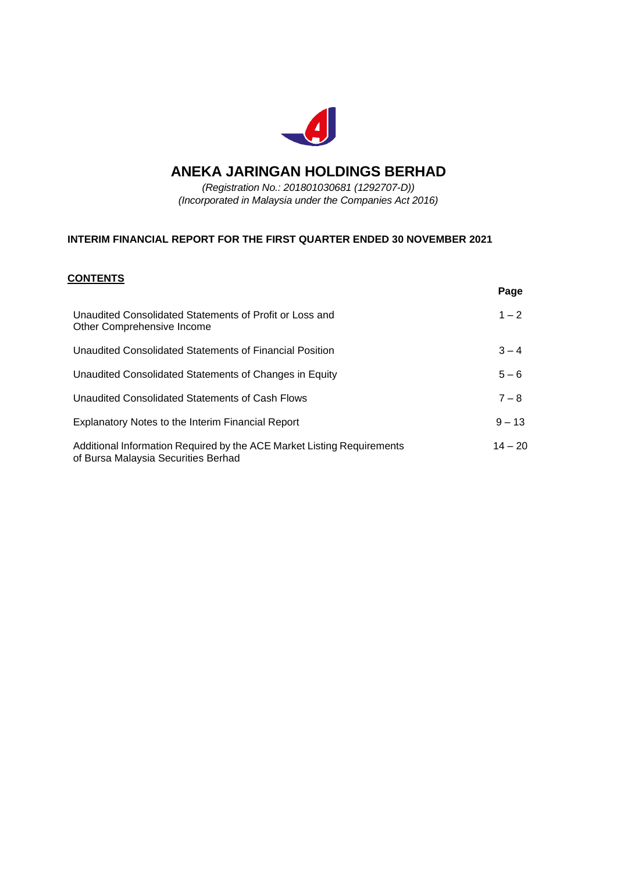

# **ANEKA JARINGAN HOLDINGS BERHAD**

*(Registration No.: 201801030681 (1292707-D)) (Incorporated in Malaysia under the Companies Act 2016)*

### **INTERIM FINANCIAL REPORT FOR THE FIRST QUARTER ENDED 30 NOVEMBER 2021**

### **CONTENTS**

|                                                                                                               | Page      |
|---------------------------------------------------------------------------------------------------------------|-----------|
| Unaudited Consolidated Statements of Profit or Loss and<br>Other Comprehensive Income                         | $1 - 2$   |
| Unaudited Consolidated Statements of Financial Position                                                       | $3 - 4$   |
| Unaudited Consolidated Statements of Changes in Equity                                                        | $5 - 6$   |
| Unaudited Consolidated Statements of Cash Flows                                                               | $7 - 8$   |
| Explanatory Notes to the Interim Financial Report                                                             | $9 - 13$  |
| Additional Information Required by the ACE Market Listing Requirements<br>of Bursa Malaysia Securities Berhad | $14 - 20$ |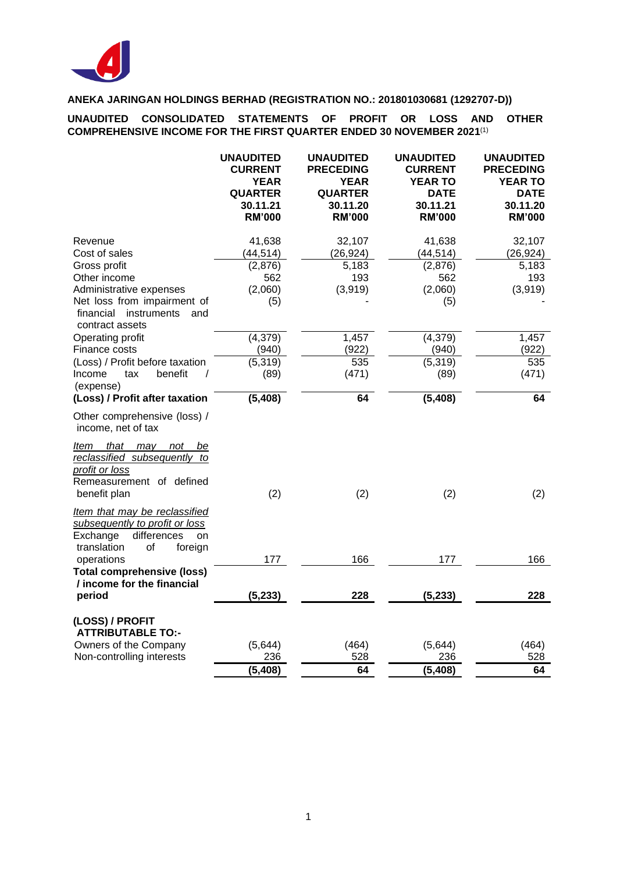

**UNAUDITED CONSOLIDATED STATEMENTS OF PROFIT OR LOSS AND OTHER COMPREHENSIVE INCOME FOR THE FIRST QUARTER ENDED 30 NOVEMBER 2021** (1)

|                                                                                                                                  | <b>UNAUDITED</b><br><b>CURRENT</b><br><b>YEAR</b><br><b>QUARTER</b><br>30.11.21<br><b>RM'000</b> | <b>UNAUDITED</b><br><b>PRECEDING</b><br><b>YEAR</b><br><b>QUARTER</b><br>30.11.20<br><b>RM'000</b> | <b>UNAUDITED</b><br><b>CURRENT</b><br><b>YEAR TO</b><br><b>DATE</b><br>30.11.21<br><b>RM'000</b> | <b>UNAUDITED</b><br><b>PRECEDING</b><br><b>YEAR TO</b><br><b>DATE</b><br>30.11.20<br><b>RM'000</b> |
|----------------------------------------------------------------------------------------------------------------------------------|--------------------------------------------------------------------------------------------------|----------------------------------------------------------------------------------------------------|--------------------------------------------------------------------------------------------------|----------------------------------------------------------------------------------------------------|
| Revenue                                                                                                                          | 41,638                                                                                           | 32,107                                                                                             | 41,638                                                                                           | 32,107                                                                                             |
| Cost of sales                                                                                                                    | (44, 514)                                                                                        | (26, 924)                                                                                          | (44, 514)                                                                                        | (26, 924)                                                                                          |
| Gross profit                                                                                                                     | (2,876)                                                                                          | 5,183                                                                                              | (2,876)                                                                                          | 5,183                                                                                              |
| Other income                                                                                                                     | 562                                                                                              | 193                                                                                                | 562                                                                                              | 193                                                                                                |
| Administrative expenses                                                                                                          | (2,060)                                                                                          | (3,919)                                                                                            | (2,060)                                                                                          | (3,919)                                                                                            |
| Net loss from impairment of<br>financial<br>instruments<br>and                                                                   | (5)                                                                                              |                                                                                                    | (5)                                                                                              |                                                                                                    |
| contract assets                                                                                                                  |                                                                                                  |                                                                                                    |                                                                                                  |                                                                                                    |
| Operating profit                                                                                                                 | (4, 379)                                                                                         | 1,457                                                                                              | (4, 379)                                                                                         | 1,457                                                                                              |
| Finance costs                                                                                                                    | (940)                                                                                            | (922)                                                                                              | (940)                                                                                            | (922)                                                                                              |
| (Loss) / Profit before taxation                                                                                                  | (5, 319)                                                                                         | 535                                                                                                | (5, 319)                                                                                         | 535                                                                                                |
| Income<br>tax<br>benefit<br>$\prime$<br>(expense)                                                                                | (89)                                                                                             | (471)                                                                                              | (89)                                                                                             | (471)                                                                                              |
| (Loss) / Profit after taxation                                                                                                   | (5, 408)                                                                                         | 64                                                                                                 | (5, 408)                                                                                         | 64                                                                                                 |
| Other comprehensive (loss) /<br>income, net of tax                                                                               |                                                                                                  |                                                                                                    |                                                                                                  |                                                                                                    |
| that may<br>ltem<br>not<br>be<br>reclassified subsequently to<br>profit or loss<br>Remeasurement of defined<br>benefit plan      | (2)                                                                                              | (2)                                                                                                | (2)                                                                                              | (2)                                                                                                |
| Item that may be reclassified<br>subsequently to profit or loss<br>differences<br>Exchange<br>on<br>translation<br>οf<br>foreign |                                                                                                  |                                                                                                    |                                                                                                  |                                                                                                    |
| operations                                                                                                                       | 177                                                                                              | 166                                                                                                | 177                                                                                              | 166                                                                                                |
| <b>Total comprehensive (loss)</b><br>/ income for the financial                                                                  |                                                                                                  |                                                                                                    |                                                                                                  |                                                                                                    |
| period                                                                                                                           | (5, 233)                                                                                         | 228                                                                                                | (5, 233)                                                                                         | 228                                                                                                |
| (LOSS) / PROFIT<br><b>ATTRIBUTABLE TO:-</b>                                                                                      |                                                                                                  |                                                                                                    |                                                                                                  |                                                                                                    |
| Owners of the Company                                                                                                            | (5,644)                                                                                          | (464)                                                                                              | (5,644)                                                                                          | (464)                                                                                              |
| Non-controlling interests                                                                                                        | 236                                                                                              | 528                                                                                                | 236                                                                                              | 528                                                                                                |
|                                                                                                                                  | (5, 408)                                                                                         | 64                                                                                                 | (5, 408)                                                                                         | 64                                                                                                 |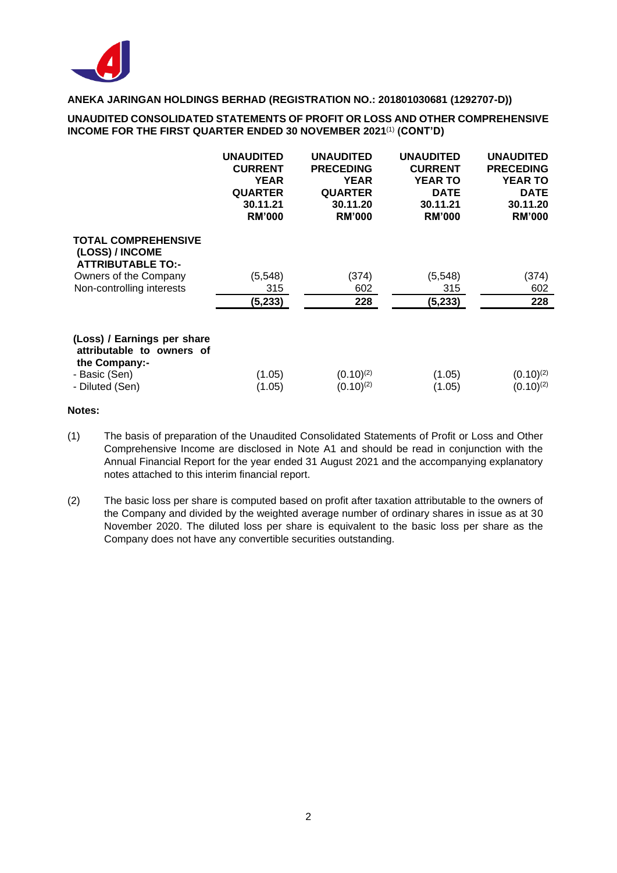

#### **UNAUDITED CONSOLIDATED STATEMENTS OF PROFIT OR LOSS AND OTHER COMPREHENSIVE INCOME FOR THE FIRST QUARTER ENDED 30 NOVEMBER 2021**(1) **(CONT'D)**

|                                                                           | <b>UNAUDITED</b> | <b>UNAUDITED</b> | <b>UNAUDITED</b> | <b>UNAUDITED</b> |
|---------------------------------------------------------------------------|------------------|------------------|------------------|------------------|
|                                                                           | <b>CURRENT</b>   | <b>PRECEDING</b> | <b>CURRENT</b>   | <b>PRECEDING</b> |
|                                                                           | <b>YEAR</b>      | <b>YEAR</b>      | <b>YEAR TO</b>   | <b>YEAR TO</b>   |
|                                                                           | <b>QUARTER</b>   | <b>QUARTER</b>   | <b>DATE</b>      | <b>DATE</b>      |
|                                                                           | 30.11.21         | 30.11.20         | 30.11.21         | 30.11.20         |
|                                                                           | <b>RM'000</b>    | <b>RM'000</b>    | <b>RM'000</b>    | <b>RM'000</b>    |
| <b>TOTAL COMPREHENSIVE</b><br>(LOSS) / INCOME<br><b>ATTRIBUTABLE TO:-</b> |                  |                  |                  |                  |
| Owners of the Company                                                     | (5, 548)         | (374)            | (5, 548)         | (374)            |
| Non-controlling interests                                                 | 315              | 602              | 315              | 602              |
|                                                                           | (5,233)          | 228              | (5, 233)         | 228              |
| (Loss) / Earnings per share<br>attributable to owners of<br>the Company:- |                  |                  |                  |                  |
| - Basic (Sen)                                                             | (1.05)           | $(0.10)^{(2)}$   | (1.05)           | $(0.10)^{(2)}$   |
| - Diluted (Sen)                                                           | (1.05)           | $(0.10)^{(2)}$   | (1.05)           | $(0.10)^{(2)}$   |

#### **Notes:**

- (1) The basis of preparation of the Unaudited Consolidated Statements of Profit or Loss and Other Comprehensive Income are disclosed in Note A1 and should be read in conjunction with the Annual Financial Report for the year ended 31 August 2021 and the accompanying explanatory notes attached to this interim financial report.
- (2) The basic loss per share is computed based on profit after taxation attributable to the owners of the Company and divided by the weighted average number of ordinary shares in issue as at 30 November 2020. The diluted loss per share is equivalent to the basic loss per share as the Company does not have any convertible securities outstanding.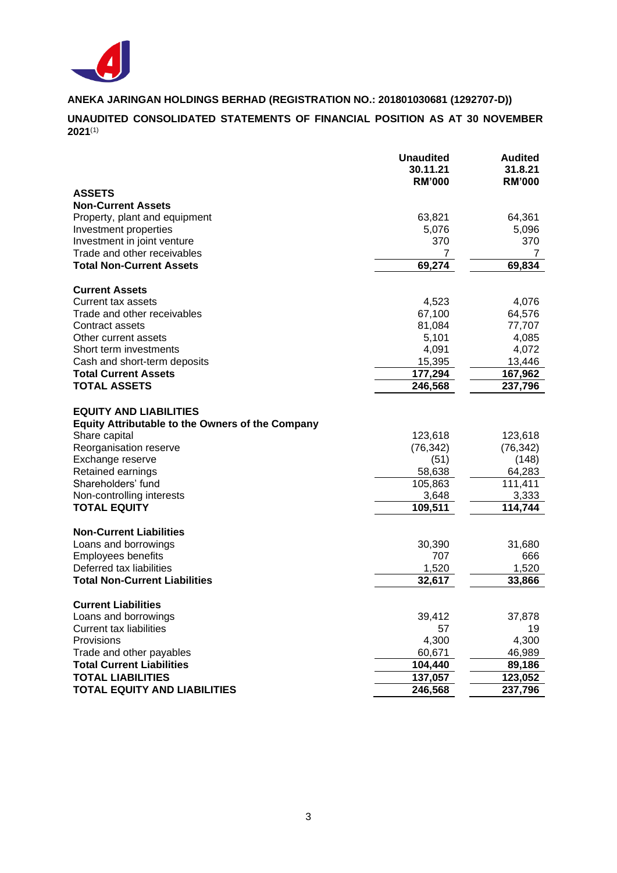

**UNAUDITED CONSOLIDATED STATEMENTS OF FINANCIAL POSITION AS AT 30 NOVEMBER 2021** (1)

|                                                                                                           | <b>Unaudited</b><br>30.11.21<br><b>RM'000</b> | <b>Audited</b><br>31.8.21<br><b>RM'000</b> |
|-----------------------------------------------------------------------------------------------------------|-----------------------------------------------|--------------------------------------------|
| <b>ASSETS</b>                                                                                             |                                               |                                            |
| <b>Non-Current Assets</b>                                                                                 |                                               |                                            |
| Property, plant and equipment                                                                             | 63,821                                        | 64,361                                     |
| Investment properties                                                                                     | 5,076                                         | 5,096                                      |
| Investment in joint venture                                                                               | 370                                           | 370                                        |
| Trade and other receivables                                                                               | 7                                             | 7                                          |
| <b>Total Non-Current Assets</b>                                                                           | 69,274                                        | 69,834                                     |
| <b>Current Assets</b>                                                                                     |                                               |                                            |
| Current tax assets                                                                                        | 4,523                                         | 4,076                                      |
| Trade and other receivables                                                                               | 67,100                                        | 64,576                                     |
| Contract assets                                                                                           | 81,084                                        | 77,707                                     |
| Other current assets                                                                                      | 5,101                                         | 4,085                                      |
| Short term investments                                                                                    | 4,091                                         | 4,072                                      |
| Cash and short-term deposits                                                                              | 15,395                                        | 13,446                                     |
| <b>Total Current Assets</b>                                                                               | 177,294                                       | 167,962                                    |
| <b>TOTAL ASSETS</b>                                                                                       | 246,568                                       | 237,796                                    |
| <b>EQUITY AND LIABILITIES</b><br><b>Equity Attributable to the Owners of the Company</b><br>Share capital | 123,618                                       | 123,618                                    |
| Reorganisation reserve                                                                                    | (76, 342)                                     | (76, 342)                                  |
| Exchange reserve                                                                                          | (51)                                          | (148)                                      |
| Retained earnings                                                                                         | 58,638                                        | 64,283                                     |
| Shareholders' fund                                                                                        | 105,863                                       | 111,411                                    |
| Non-controlling interests                                                                                 | 3,648                                         | 3,333                                      |
| <b>TOTAL EQUITY</b>                                                                                       | 109,511                                       | 114,744                                    |
| <b>Non-Current Liabilities</b>                                                                            |                                               |                                            |
| Loans and borrowings                                                                                      | 30,390                                        | 31,680                                     |
| <b>Employees benefits</b>                                                                                 | 707                                           | 666                                        |
| Deferred tax liabilities                                                                                  | 1,520                                         | 1,520                                      |
| <b>Total Non-Current Liabilities</b>                                                                      | 32,617                                        | 33,866                                     |
| <b>Current Liabilities</b>                                                                                |                                               |                                            |
| Loans and borrowings                                                                                      | 39,412                                        | 37,878                                     |
| <b>Current tax liabilities</b>                                                                            | 57                                            | 19                                         |
| Provisions                                                                                                | 4,300                                         | 4,300                                      |
| Trade and other payables                                                                                  | 60,671                                        | 46,989                                     |
| <b>Total Current Liabilities</b>                                                                          | 104,440                                       | 89,186                                     |
| <b>TOTAL LIABILITIES</b>                                                                                  | 137,057                                       | 123,052                                    |
| <b>TOTAL EQUITY AND LIABILITIES</b>                                                                       | 246,568                                       | 237,796                                    |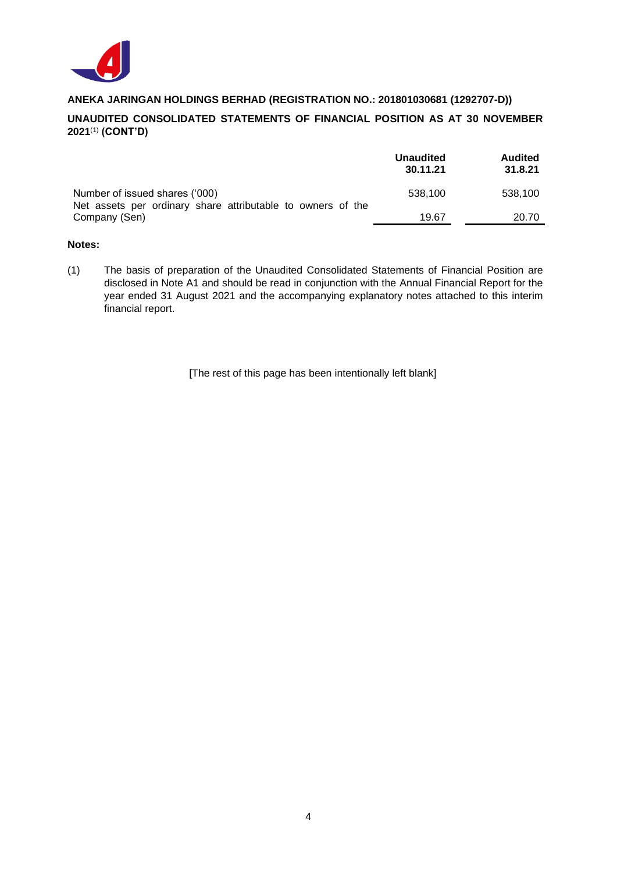

### **UNAUDITED CONSOLIDATED STATEMENTS OF FINANCIAL POSITION AS AT 30 NOVEMBER 2021** (1) **(CONT'D)**

|                                                                                               | <b>Unaudited</b><br>30.11.21 | <b>Audited</b><br>31.8.21 |
|-----------------------------------------------------------------------------------------------|------------------------------|---------------------------|
| Number of issued shares ('000)<br>Net assets per ordinary share attributable to owners of the | 538.100                      | 538.100                   |
| Company (Sen)                                                                                 | 19.67                        | 20.70                     |

#### **Notes:**

(1) The basis of preparation of the Unaudited Consolidated Statements of Financial Position are disclosed in Note A1 and should be read in conjunction with the Annual Financial Report for the year ended 31 August 2021 and the accompanying explanatory notes attached to this interim financial report.

[The rest of this page has been intentionally left blank]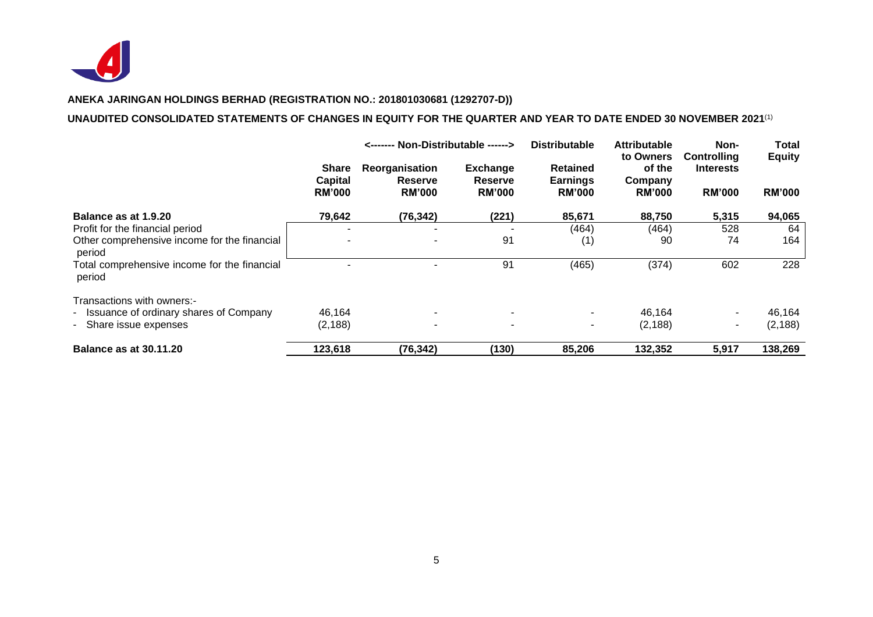

#### **UNAUDITED CONSOLIDATED STATEMENTS OF CHANGES IN EQUITY FOR THE QUARTER AND YEAR TO DATE ENDED 30 NOVEMBER 2021** (1)

|                                                        | <------ Non-Distributable ------>               |                                                   |                                                    | <b>Distributable</b>                                | <b>Attributable</b><br>to Owners   | Non-<br>Controlling               | <b>Total</b><br><b>Equity</b> |
|--------------------------------------------------------|-------------------------------------------------|---------------------------------------------------|----------------------------------------------------|-----------------------------------------------------|------------------------------------|-----------------------------------|-------------------------------|
|                                                        | <b>Share</b><br><b>Capital</b><br><b>RM'000</b> | Reorganisation<br><b>Reserve</b><br><b>RM'000</b> | <b>Exchange</b><br><b>Reserve</b><br><b>RM'000</b> | <b>Retained</b><br><b>Earnings</b><br><b>RM'000</b> | of the<br>Company<br><b>RM'000</b> | <b>Interests</b><br><b>RM'000</b> | <b>RM'000</b>                 |
| Balance as at 1.9.20                                   | 79,642                                          | (76, 342)                                         | (221)                                              | 85,671                                              | 88,750                             | 5,315                             | 94,065                        |
| Profit for the financial period                        | -                                               |                                                   |                                                    | (464)                                               | (464)                              | 528                               | 64                            |
| Other comprehensive income for the financial<br>period |                                                 |                                                   | 91                                                 | (1)                                                 | 90                                 | 74                                | 164                           |
| Total comprehensive income for the financial<br>period |                                                 |                                                   | 91                                                 | (465)                                               | (374)                              | 602                               | 228                           |
| Transactions with owners:-                             |                                                 |                                                   |                                                    |                                                     |                                    |                                   |                               |
| - Issuance of ordinary shares of Company               | 46.164                                          |                                                   |                                                    |                                                     | 46,164                             |                                   | 46,164                        |
| - Share issue expenses                                 | (2, 188)                                        |                                                   |                                                    |                                                     | (2, 188)                           | $\sim$                            | (2, 188)                      |
| <b>Balance as at 30.11.20</b>                          | 123,618                                         | (76, 342)                                         | (130)                                              | 85,206                                              | 132,352                            | 5,917                             | 138,269                       |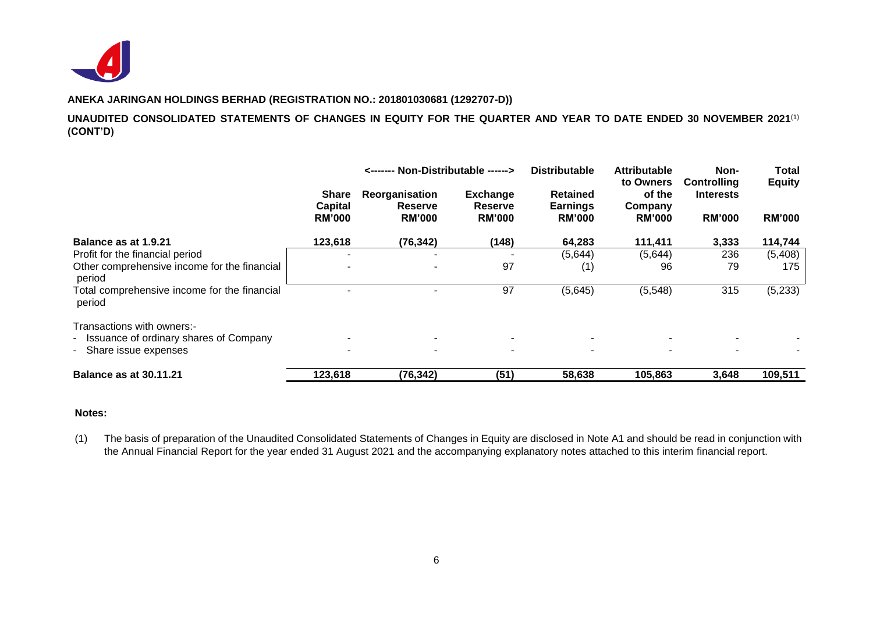

### **UNAUDITED CONSOLIDATED STATEMENTS OF CHANGES IN EQUITY FOR THE QUARTER AND YEAR TO DATE ENDED 30 NOVEMBER 2021**(1) **(CONT'D)**

|                                                                        |                                   | <------- Non-Distributable ------>                |                                             | <b>Distributable</b>                                | <b>Attributable</b>                             | Non-                                                    | <b>Total</b>                   |
|------------------------------------------------------------------------|-----------------------------------|---------------------------------------------------|---------------------------------------------|-----------------------------------------------------|-------------------------------------------------|---------------------------------------------------------|--------------------------------|
|                                                                        | Share<br>Capital<br><b>RM'000</b> | Reorganisation<br><b>Reserve</b><br><b>RM'000</b> | <b>Exchange</b><br>Reserve<br><b>RM'000</b> | <b>Retained</b><br><b>Earnings</b><br><b>RM'000</b> | to Owners<br>of the<br>Company<br><b>RM'000</b> | <b>Controlling</b><br><b>Interests</b><br><b>RM'000</b> | <b>Equity</b><br><b>RM'000</b> |
| Balance as at 1.9.21                                                   | 123,618                           | (76, 342)                                         | (148)                                       | 64,283                                              | 111,411                                         | 3,333                                                   | 114,744                        |
| Profit for the financial period                                        |                                   |                                                   |                                             | (5,644)                                             | (5,644)                                         | 236                                                     | (5,408)                        |
| Other comprehensive income for the financial<br>period                 |                                   |                                                   | 97                                          | (1)                                                 | 96                                              | 79                                                      | 175                            |
| Total comprehensive income for the financial<br>period                 |                                   |                                                   | 97                                          | (5,645)                                             | (5, 548)                                        | 315                                                     | (5,233)                        |
| Transactions with owners:-<br>- Issuance of ordinary shares of Company |                                   |                                                   |                                             |                                                     |                                                 |                                                         |                                |
| - Share issue expenses                                                 |                                   |                                                   |                                             |                                                     | $\blacksquare$                                  |                                                         |                                |
| <b>Balance as at 30.11.21</b>                                          | 123,618                           | (76, 342)                                         | (51)                                        | 58,638                                              | 105,863                                         | 3,648                                                   | 109,511                        |

#### **Notes:**

(1) The basis of preparation of the Unaudited Consolidated Statements of Changes in Equity are disclosed in Note A1 and should be read in conjunction with the Annual Financial Report for the year ended 31 August 2021 and the accompanying explanatory notes attached to this interim financial report.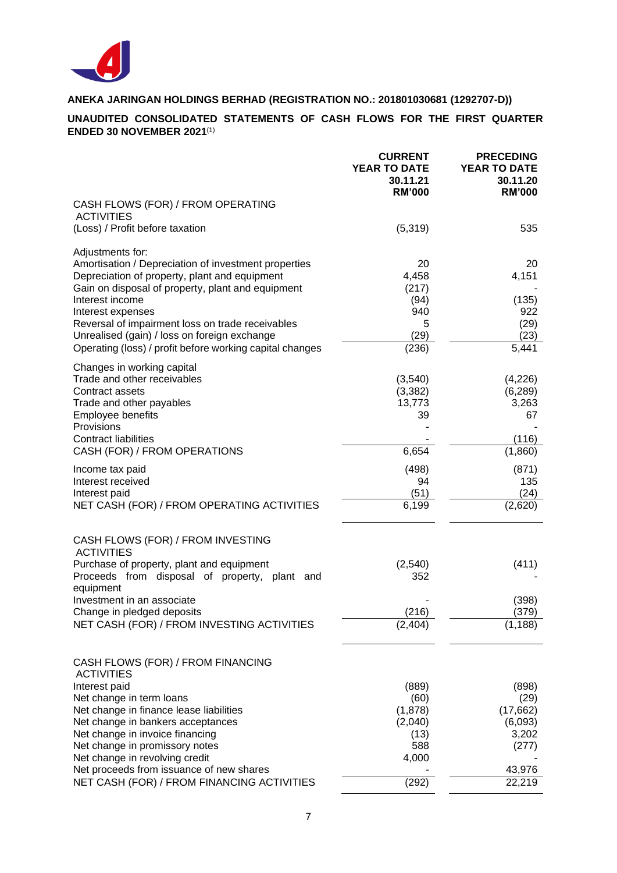

### **UNAUDITED CONSOLIDATED STATEMENTS OF CASH FLOWS FOR THE FIRST QUARTER ENDED 30 NOVEMBER 2021** (1)

|                                                                                                       | <b>CURRENT</b><br><b>YEAR TO DATE</b><br>30.11.21<br><b>RM'000</b> | <b>PRECEDING</b><br>YEAR TO DATE<br>30.11.20<br><b>RM'000</b> |
|-------------------------------------------------------------------------------------------------------|--------------------------------------------------------------------|---------------------------------------------------------------|
| CASH FLOWS (FOR) / FROM OPERATING<br><b>ACTIVITIES</b>                                                |                                                                    |                                                               |
| (Loss) / Profit before taxation                                                                       | (5, 319)                                                           | 535                                                           |
| Adjustments for:                                                                                      |                                                                    |                                                               |
| Amortisation / Depreciation of investment properties<br>Depreciation of property, plant and equipment | 20<br>4,458                                                        | 20<br>4,151                                                   |
| Gain on disposal of property, plant and equipment                                                     | (217)                                                              |                                                               |
| Interest income<br>Interest expenses                                                                  | (94)<br>940                                                        | (135)<br>922                                                  |
| Reversal of impairment loss on trade receivables<br>Unrealised (gain) / loss on foreign exchange      | 5<br>(29)                                                          | (29)<br>(23)                                                  |
| Operating (loss) / profit before working capital changes                                              | (236)                                                              | 5,441                                                         |
| Changes in working capital                                                                            |                                                                    |                                                               |
| Trade and other receivables<br>Contract assets                                                        | (3,540)<br>(3, 382)                                                | (4,226)<br>(6, 289)                                           |
| Trade and other payables                                                                              | 13,773                                                             | 3,263                                                         |
| Employee benefits<br>Provisions                                                                       | 39                                                                 | 67                                                            |
| <b>Contract liabilities</b>                                                                           |                                                                    | (116)                                                         |
| CASH (FOR) / FROM OPERATIONS                                                                          | 6,654                                                              | (1,860)                                                       |
| Income tax paid<br>Interest received                                                                  | (498)<br>94                                                        | (871)<br>135                                                  |
| Interest paid                                                                                         | (51)                                                               | (24)                                                          |
| NET CASH (FOR) / FROM OPERATING ACTIVITIES                                                            | 6,199                                                              | (2,620)                                                       |
| CASH FLOWS (FOR) / FROM INVESTING<br><b>ACTIVITIES</b>                                                |                                                                    |                                                               |
| Purchase of property, plant and equipment                                                             | (2, 540)                                                           | (411)                                                         |
| Proceeds from disposal of property, plant and<br>equipment                                            | 352                                                                |                                                               |
| Investment in an associate                                                                            |                                                                    | (398)                                                         |
| Change in pledged deposits<br>NET CASH (FOR) / FROM INVESTING ACTIVITIES                              | (216)<br>(2, 404)                                                  | (379)<br>(1, 188)                                             |
|                                                                                                       |                                                                    |                                                               |
| CASH FLOWS (FOR) / FROM FINANCING<br><b>ACTIVITIES</b>                                                |                                                                    |                                                               |
| Interest paid                                                                                         | (889)                                                              | (898)                                                         |
| Net change in term loans<br>Net change in finance lease liabilities                                   | (60)<br>(1,878)                                                    | (29)<br>(17,662)                                              |
| Net change in bankers acceptances                                                                     | (2,040)                                                            | (6,093)                                                       |
| Net change in invoice financing<br>Net change in promissory notes                                     | (13)<br>588                                                        | 3,202<br>(277)                                                |
| Net change in revolving credit                                                                        | 4,000                                                              |                                                               |
| Net proceeds from issuance of new shares<br>NET CASH (FOR) / FROM FINANCING ACTIVITIES                | (292)                                                              | 43,976<br>22,219                                              |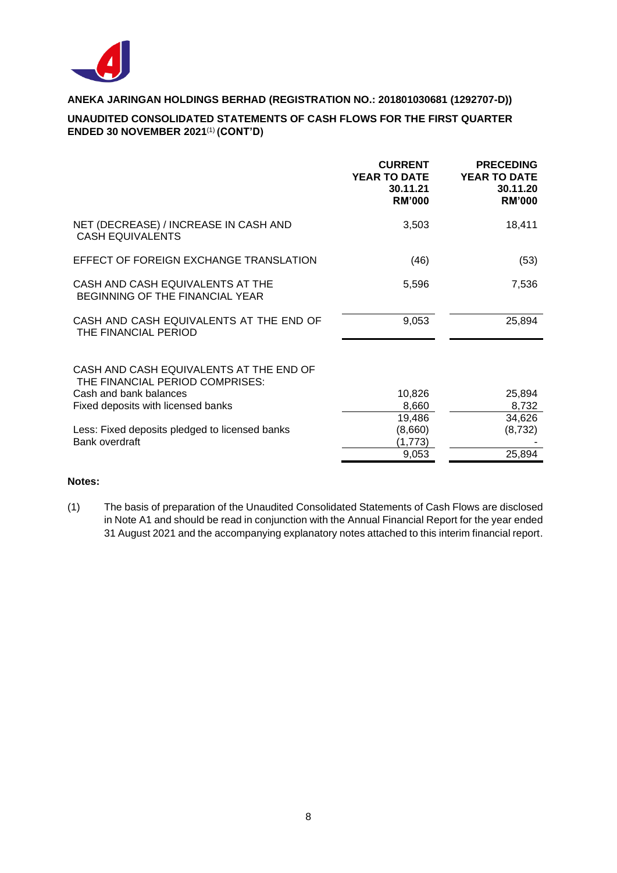

### **UNAUDITED CONSOLIDATED STATEMENTS OF CASH FLOWS FOR THE FIRST QUARTER ENDED 30 NOVEMBER 2021** (1) **(CONT'D)**

|                                                                            | <b>CURRENT</b><br><b>YEAR TO DATE</b><br>30.11.21<br><b>RM'000</b> | <b>PRECEDING</b><br><b>YEAR TO DATE</b><br>30.11.20<br><b>RM'000</b> |
|----------------------------------------------------------------------------|--------------------------------------------------------------------|----------------------------------------------------------------------|
| NET (DECREASE) / INCREASE IN CASH AND<br><b>CASH EQUIVALENTS</b>           | 3,503                                                              | 18,411                                                               |
| EFFECT OF FOREIGN EXCHANGE TRANSLATION                                     | (46)                                                               | (53)                                                                 |
| CASH AND CASH EQUIVALENTS AT THE<br>BEGINNING OF THE FINANCIAL YEAR        | 5,596                                                              | 7,536                                                                |
| CASH AND CASH EQUIVALENTS AT THE END OF<br>THE FINANCIAL PERIOD            | 9,053                                                              | 25,894                                                               |
| CASH AND CASH EQUIVALENTS AT THE END OF<br>THE FINANCIAL PERIOD COMPRISES: |                                                                    |                                                                      |
| Cash and bank balances                                                     | 10,826                                                             | 25,894                                                               |
| Fixed deposits with licensed banks                                         | 8,660                                                              | 8,732                                                                |
| Less: Fixed deposits pledged to licensed banks                             | 19,486<br>(8,660)                                                  | 34,626<br>(8, 732)                                                   |
| Bank overdraft                                                             | (1,773)                                                            |                                                                      |
|                                                                            | 9,053                                                              | 25,894                                                               |

### **Notes:**

(1) The basis of preparation of the Unaudited Consolidated Statements of Cash Flows are disclosed in Note A1 and should be read in conjunction with the Annual Financial Report for the year ended 31 August 2021 and the accompanying explanatory notes attached to this interim financial report.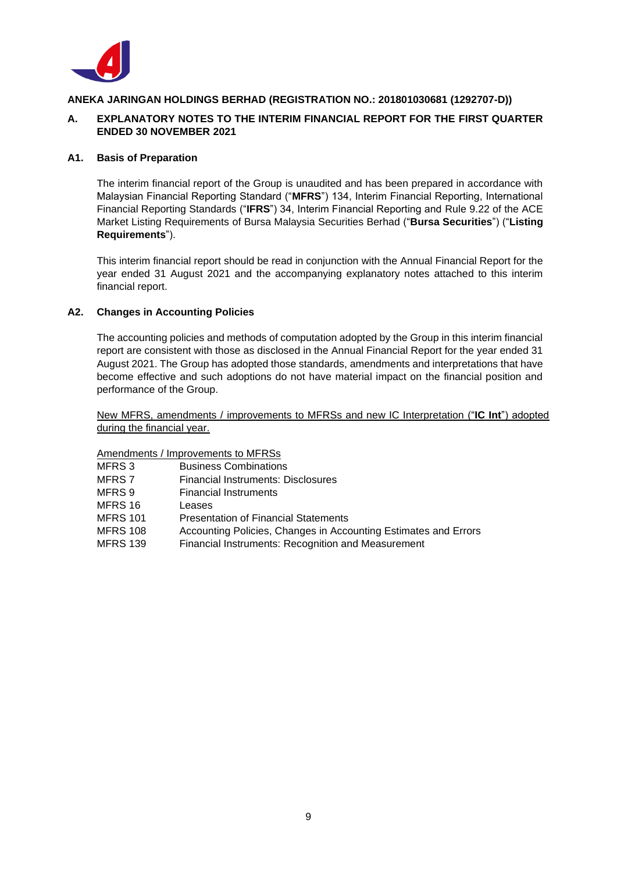

### **A. EXPLANATORY NOTES TO THE INTERIM FINANCIAL REPORT FOR THE FIRST QUARTER ENDED 30 NOVEMBER 2021**

#### **A1. Basis of Preparation**

The interim financial report of the Group is unaudited and has been prepared in accordance with Malaysian Financial Reporting Standard ("**MFRS**") 134, Interim Financial Reporting, International Financial Reporting Standards ("**IFRS**") 34, Interim Financial Reporting and Rule 9.22 of the ACE Market Listing Requirements of Bursa Malaysia Securities Berhad ("**Bursa Securities**") ("**Listing Requirements**").

This interim financial report should be read in conjunction with the Annual Financial Report for the year ended 31 August 2021 and the accompanying explanatory notes attached to this interim financial report.

### **A2. Changes in Accounting Policies**

The accounting policies and methods of computation adopted by the Group in this interim financial report are consistent with those as disclosed in the Annual Financial Report for the year ended 31 August 2021. The Group has adopted those standards, amendments and interpretations that have become effective and such adoptions do not have material impact on the financial position and performance of the Group.

New MFRS, amendments / improvements to MFRSs and new IC Interpretation ("**IC Int**") adopted during the financial year.

#### Amendments / Improvements to MFRSs

| MFRS 3   | <b>Business Combinations</b>                                    |
|----------|-----------------------------------------------------------------|
| MFRS 7   | Financial Instruments: Disclosures                              |
| MFRS 9   | <b>Financial Instruments</b>                                    |
| MFRS 16  | Leases                                                          |
| MFRS 101 | <b>Presentation of Financial Statements</b>                     |
| MFRS 108 | Accounting Policies, Changes in Accounting Estimates and Errors |
| MFRS 139 | Financial Instruments: Recognition and Measurement              |
|          |                                                                 |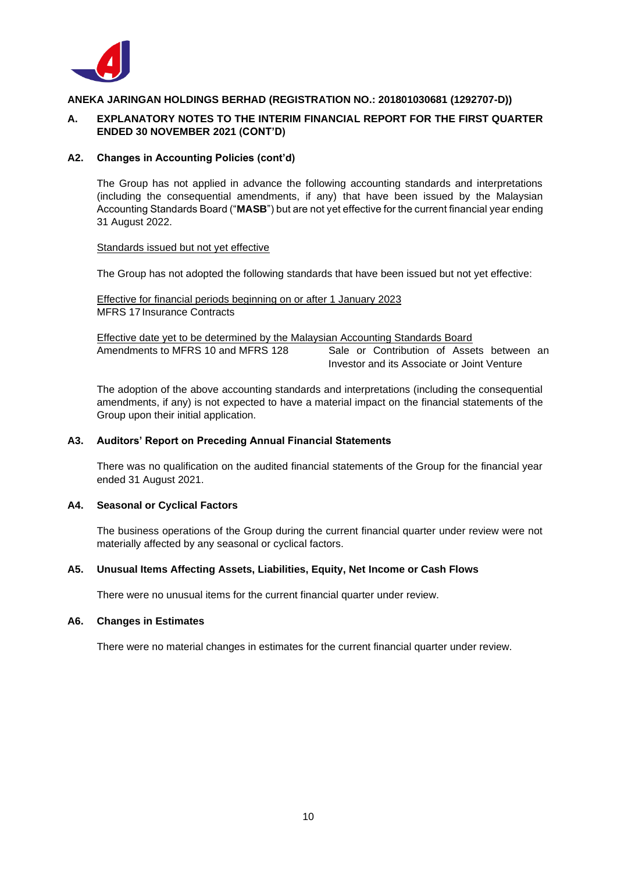

### **A. EXPLANATORY NOTES TO THE INTERIM FINANCIAL REPORT FOR THE FIRST QUARTER ENDED 30 NOVEMBER 2021 (CONT'D)**

#### **A2. Changes in Accounting Policies (cont'd)**

The Group has not applied in advance the following accounting standards and interpretations (including the consequential amendments, if any) that have been issued by the Malaysian Accounting Standards Board ("**MASB**") but are not yet effective for the current financial year ending 31 August 2022.

#### Standards issued but not yet effective

The Group has not adopted the following standards that have been issued but not yet effective:

Effective for financial periods beginning on or after 1 January 2023 MFRS 17 Insurance Contracts

Effective date yet to be determined by the Malaysian Accounting Standards Board Amendments to MFRS 10 and MFRS 128 Sale or Contribution of Assets between an Investor and its Associate or Joint Venture

The adoption of the above accounting standards and interpretations (including the consequential amendments, if any) is not expected to have a material impact on the financial statements of the Group upon their initial application.

#### **A3. Auditors' Report on Preceding Annual Financial Statements**

There was no qualification on the audited financial statements of the Group for the financial year ended 31 August 2021.

#### **A4. Seasonal or Cyclical Factors**

The business operations of the Group during the current financial quarter under review were not materially affected by any seasonal or cyclical factors.

#### **A5. Unusual Items Affecting Assets, Liabilities, Equity, Net Income or Cash Flows**

There were no unusual items for the current financial quarter under review.

#### **A6. Changes in Estimates**

There were no material changes in estimates for the current financial quarter under review.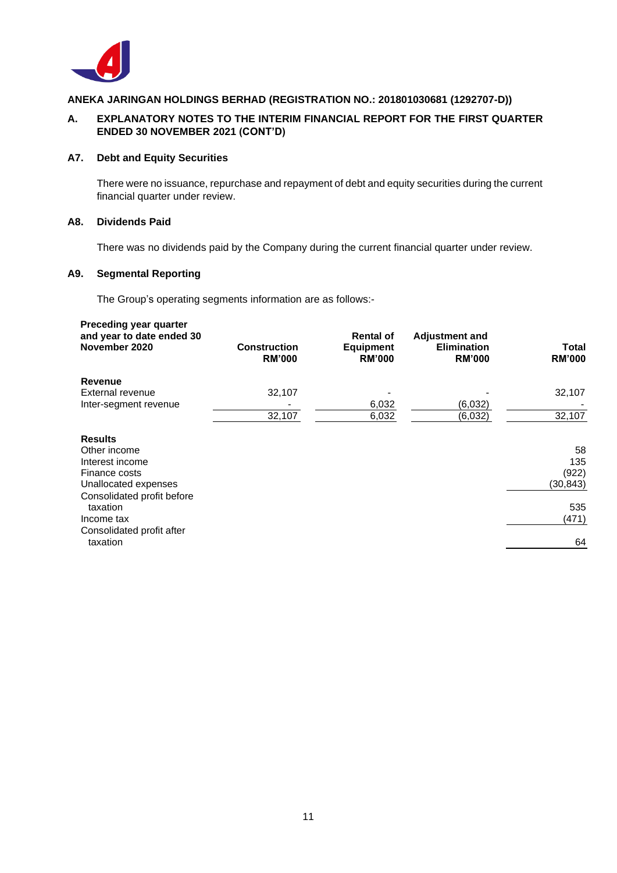

### **A. EXPLANATORY NOTES TO THE INTERIM FINANCIAL REPORT FOR THE FIRST QUARTER ENDED 30 NOVEMBER 2021 (CONT'D)**

#### **A7. Debt and Equity Securities**

There were no issuance, repurchase and repayment of debt and equity securities during the current financial quarter under review.

#### **A8. Dividends Paid**

There was no dividends paid by the Company during the current financial quarter under review.

### **A9. Segmental Reporting**

The Group's operating segments information are as follows:-

| Preceding year quarter<br>and year to date ended 30<br>November 2020                                                  | <b>Construction</b><br><b>RM'000</b> | <b>Rental of</b><br><b>Equipment</b><br><b>RM'000</b> | <b>Adjustment and</b><br><b>Elimination</b><br><b>RM'000</b> | Total<br><b>RM'000</b>          |
|-----------------------------------------------------------------------------------------------------------------------|--------------------------------------|-------------------------------------------------------|--------------------------------------------------------------|---------------------------------|
| Revenue<br>External revenue<br>Inter-segment revenue                                                                  | 32,107                               | 6,032                                                 | (6,032)                                                      | 32,107                          |
| <b>Results</b><br>Other income<br>Interest income<br>Finance costs                                                    | 32,107                               | 6,032                                                 | (6,032)                                                      | 32,107<br>58<br>135<br>(922)    |
| Unallocated expenses<br>Consolidated profit before<br>taxation<br>Income tax<br>Consolidated profit after<br>taxation |                                      |                                                       |                                                              | (30, 843)<br>535<br>(471)<br>64 |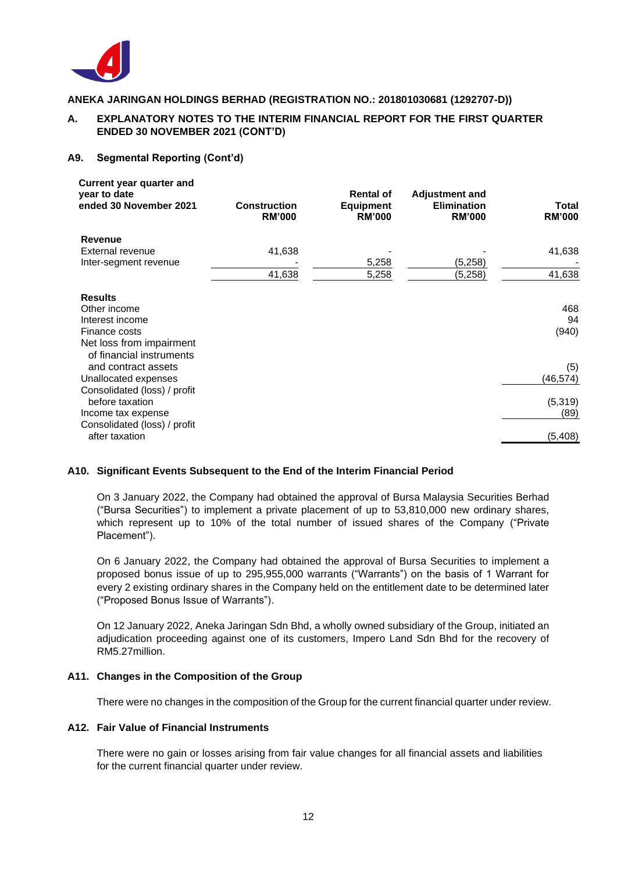

### **A. EXPLANATORY NOTES TO THE INTERIM FINANCIAL REPORT FOR THE FIRST QUARTER ENDED 30 NOVEMBER 2021 (CONT'D)**

#### **A9. Segmental Reporting (Cont'd)**

| Current year quarter and<br>year to date<br>ended 30 November 2021 | <b>Construction</b><br><b>RM'000</b> | <b>Rental of</b><br><b>Equipment</b><br><b>RM'000</b> | <b>Adjustment and</b><br><b>Elimination</b><br><b>RM'000</b> | <b>Total</b><br><b>RM'000</b> |
|--------------------------------------------------------------------|--------------------------------------|-------------------------------------------------------|--------------------------------------------------------------|-------------------------------|
| <b>Revenue</b>                                                     |                                      |                                                       |                                                              |                               |
| External revenue                                                   | 41,638                               |                                                       |                                                              | 41,638                        |
| Inter-segment revenue                                              |                                      | 5,258                                                 | (5,258)                                                      |                               |
|                                                                    | 41,638                               | 5,258                                                 | (5,258)                                                      | 41,638                        |
| <b>Results</b>                                                     |                                      |                                                       |                                                              |                               |
| Other income                                                       |                                      |                                                       |                                                              | 468                           |
| Interest income                                                    |                                      |                                                       |                                                              | 94                            |
| Finance costs                                                      |                                      |                                                       |                                                              | (940)                         |
| Net loss from impairment<br>of financial instruments               |                                      |                                                       |                                                              |                               |
| and contract assets                                                |                                      |                                                       |                                                              | (5)                           |
| Unallocated expenses                                               |                                      |                                                       |                                                              | (46, 574)                     |
| Consolidated (loss) / profit<br>before taxation                    |                                      |                                                       |                                                              | (5, 319)                      |
| Income tax expense                                                 |                                      |                                                       |                                                              | (89)                          |
| Consolidated (loss) / profit<br>after taxation                     |                                      |                                                       |                                                              | (5,408)                       |

### **A10. Significant Events Subsequent to the End of the Interim Financial Period**

On 3 January 2022, the Company had obtained the approval of Bursa Malaysia Securities Berhad ("Bursa Securities") to implement a private placement of up to 53,810,000 new ordinary shares, which represent up to 10% of the total number of issued shares of the Company ("Private Placement").

On 6 January 2022, the Company had obtained the approval of Bursa Securities to implement a proposed bonus issue of up to 295,955,000 warrants ("Warrants") on the basis of 1 Warrant for every 2 existing ordinary shares in the Company held on the entitlement date to be determined later ("Proposed Bonus Issue of Warrants").

On 12 January 2022, Aneka Jaringan Sdn Bhd, a wholly owned subsidiary of the Group, initiated an adjudication proceeding against one of its customers, Impero Land Sdn Bhd for the recovery of RM5.27million.

### **A11. Changes in the Composition of the Group**

There were no changes in the composition of the Group for the current financial quarter under review.

#### **A12. Fair Value of Financial Instruments**

There were no gain or losses arising from fair value changes for all financial assets and liabilities for the current financial quarter under review.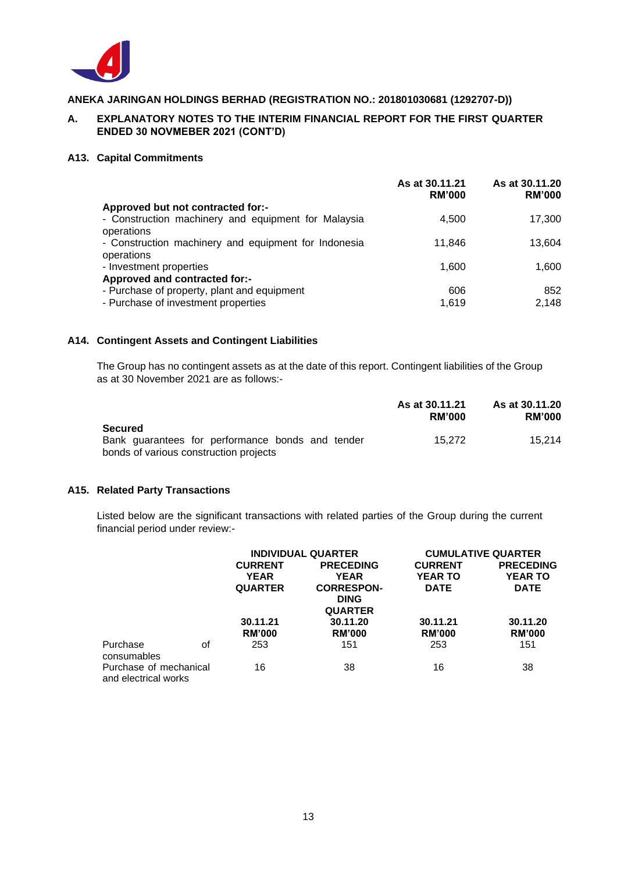

### **A. EXPLANATORY NOTES TO THE INTERIM FINANCIAL REPORT FOR THE FIRST QUARTER ENDED 30 NOVMEBER 2021 (CONT'D)**

#### **A13. Capital Commitments**

|                                                                    | As at 30.11.21<br><b>RM'000</b> | As at 30.11.20<br><b>RM'000</b> |
|--------------------------------------------------------------------|---------------------------------|---------------------------------|
| Approved but not contracted for:-                                  |                                 |                                 |
| - Construction machinery and equipment for Malaysia<br>operations  | 4,500                           | 17,300                          |
| - Construction machinery and equipment for Indonesia<br>operations | 11.846                          | 13.604                          |
| - Investment properties                                            | 1,600                           | 1,600                           |
| Approved and contracted for:-                                      |                                 |                                 |
| - Purchase of property, plant and equipment                        | 606                             | 852                             |
| - Purchase of investment properties                                | 1,619                           | 2,148                           |

### **A14. Contingent Assets and Contingent Liabilities**

The Group has no contingent assets as at the date of this report. Contingent liabilities of the Group as at 30 November 2021 are as follows:-

|                                                                                                       | As at 30.11.21<br><b>RM'000</b> | As at 30.11.20<br><b>RM'000</b> |
|-------------------------------------------------------------------------------------------------------|---------------------------------|---------------------------------|
| Secured<br>Bank guarantees for performance bonds and tender<br>bonds of various construction projects | 15.272                          | 15.214                          |

### **A15. Related Party Transactions**

Listed below are the significant transactions with related parties of the Group during the current financial period under review:-

|                                                |    |                | <b>INDIVIDUAL QUARTER</b> |                | <b>CUMULATIVE QUARTER</b> |  |
|------------------------------------------------|----|----------------|---------------------------|----------------|---------------------------|--|
|                                                |    | <b>CURRENT</b> | <b>PRECEDING</b>          | <b>CURRENT</b> | <b>PRECEDING</b>          |  |
|                                                |    | <b>YEAR</b>    | <b>YEAR</b>               | <b>YEAR TO</b> | <b>YEAR TO</b>            |  |
|                                                |    | <b>QUARTER</b> | <b>CORRESPON-</b>         | <b>DATE</b>    | <b>DATE</b>               |  |
|                                                |    |                | <b>DING</b>               |                |                           |  |
|                                                |    |                | <b>QUARTER</b>            |                |                           |  |
|                                                |    | 30.11.21       | 30.11.20                  | 30.11.21       | 30.11.20                  |  |
|                                                |    | <b>RM'000</b>  | <b>RM'000</b>             | <b>RM'000</b>  | <b>RM'000</b>             |  |
| Purchase<br>consumables                        | οf | 253            | 151                       | 253            | 151                       |  |
| Purchase of mechanical<br>and electrical works |    | 16             | 38                        | 16             | 38                        |  |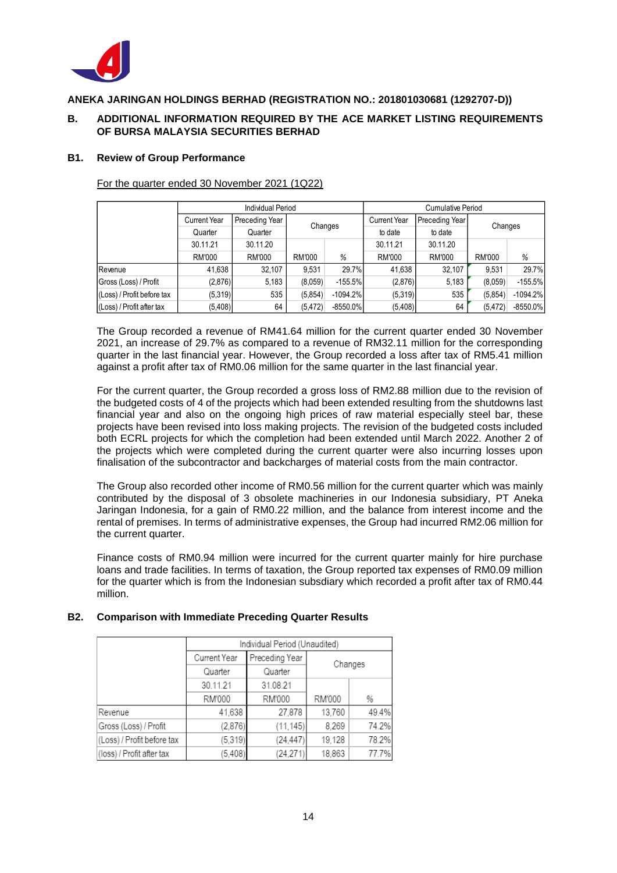

### **B. ADDITIONAL INFORMATION REQUIRED BY THE ACE MARKET LISTING REQUIREMENTS OF BURSA MALAYSIA SECURITIES BERHAD**

#### **B1. Review of Group Performance**

|                            | <b>Individual Period</b> |                |          |             | <b>Cumulative Period</b> |                |          |             |
|----------------------------|--------------------------|----------------|----------|-------------|--------------------------|----------------|----------|-------------|
|                            | <b>Current Year</b>      | Preceding Year | Changes  |             | <b>Current Year</b>      | Preceding Year | Changes  |             |
|                            | Quarter                  | Quarter        |          |             | to date                  | to date        |          |             |
|                            | 30.11.21                 | 30.11.20       |          |             |                          | 30.11.20       |          |             |
|                            | <b>RM'000</b>            | <b>RM'000</b>  | RM'000   | %           | <b>RM'000</b>            | RM'000         | RM'000   | %           |
| Revenue                    | 41,638                   | 32.107         | 9.531    | 29.7%       | 41,638                   | 32.107         | 9.531    | 29.7%       |
| Gross (Loss) / Profit      | (2,876)                  | 5,183          | (8,059)  | $-155.5%$   | (2,876)                  | 5,183          | (8.059)  | $-155.5\%$  |
| (Loss) / Profit before tax | (5,319)                  | 535            | (5,854)  | $-1094.2\%$ | (5,319)                  | 535            | (5,854)  | $-1094.2\%$ |
| (Loss) / Profit after tax  | (5,408)                  | 64             | (5, 472) | $-8550.0\%$ | (5,408)                  | 64             | (5, 472) | $-8550.0\%$ |

For the quarter ended 30 November 2021 (1Q22)

The Group recorded a revenue of RM41.64 million for the current quarter ended 30 November 2021, an increase of 29.7% as compared to a revenue of RM32.11 million for the corresponding quarter in the last financial year. However, the Group recorded a loss after tax of RM5.41 million against a profit after tax of RM0.06 million for the same quarter in the last financial year.

For the current quarter, the Group recorded a gross loss of RM2.88 million due to the revision of the budgeted costs of 4 of the projects which had been extended resulting from the shutdowns last financial year and also on the ongoing high prices of raw material especially steel bar, these projects have been revised into loss making projects. The revision of the budgeted costs included both ECRL projects for which the completion had been extended until March 2022. Another 2 of the projects which were completed during the current quarter were also incurring losses upon finalisation of the subcontractor and backcharges of material costs from the main contractor.

The Group also recorded other income of RM0.56 million for the current quarter which was mainly contributed by the disposal of 3 obsolete machineries in our Indonesia subsidiary, PT Aneka Jaringan Indonesia, for a gain of RM0.22 million, and the balance from interest income and the rental of premises. In terms of administrative expenses, the Group had incurred RM2.06 million for the current quarter.

Finance costs of RM0.94 million were incurred for the current quarter mainly for hire purchase loans and trade facilities. In terms of taxation, the Group reported tax expenses of RM0.09 million for the quarter which is from the Indonesian subsdiary which recorded a profit after tax of RM0.44 million.

### **B2. Comparison with Immediate Preceding Quarter Results**

|                            | Individual Period (Unaudited)  |           |        |         |  |  |
|----------------------------|--------------------------------|-----------|--------|---------|--|--|
|                            | Preceding Year<br>Current Year |           |        | Changes |  |  |
|                            | Quarter<br>Quarter             |           |        |         |  |  |
|                            | 30.11.21                       | 31.08.21  |        |         |  |  |
|                            | RM'000                         | RM'000    | RM'000 | %       |  |  |
| Revenue                    | 41,638                         | 27,878    | 13,760 | 49.4%   |  |  |
| Gross (Loss) / Profit      | (2,876)                        | (11, 145) | 8,269  | 74.2%   |  |  |
| (Loss) / Profit before tax | (5, 319)                       | (24, 447) | 19,128 | 78.2%   |  |  |
| (loss) / Profit after tax  | (5, 408)                       | (24, 271) | 18,863 | 77.7%   |  |  |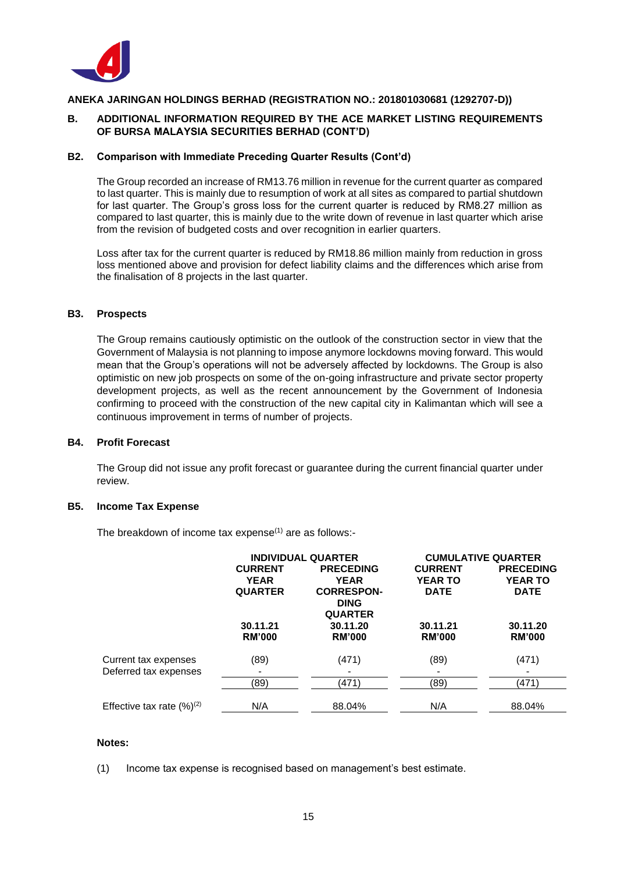

### **B. ADDITIONAL INFORMATION REQUIRED BY THE ACE MARKET LISTING REQUIREMENTS OF BURSA MALAYSIA SECURITIES BERHAD (CONT'D)**

#### **B2. Comparison with Immediate Preceding Quarter Results (Cont'd)**

The Group recorded an increase of RM13.76 million in revenue for the current quarter as compared to last quarter. This is mainly due to resumption of work at all sites as compared to partial shutdown for last quarter. The Group's gross loss for the current quarter is reduced by RM8.27 million as compared to last quarter, this is mainly due to the write down of revenue in last quarter which arise from the revision of budgeted costs and over recognition in earlier quarters.

Loss after tax for the current quarter is reduced by RM18.86 million mainly from reduction in gross loss mentioned above and provision for defect liability claims and the differences which arise from the finalisation of 8 projects in the last quarter.

#### **B3. Prospects**

The Group remains cautiously optimistic on the outlook of the construction sector in view that the Government of Malaysia is not planning to impose anymore lockdowns moving forward. This would mean that the Group's operations will not be adversely affected by lockdowns. The Group is also optimistic on new job prospects on some of the on-going infrastructure and private sector property development projects, as well as the recent announcement by the Government of Indonesia confirming to proceed with the construction of the new capital city in Kalimantan which will see a continuous improvement in terms of number of projects.

#### **B4. Profit Forecast**

The Group did not issue any profit forecast or guarantee during the current financial quarter under review.

#### **B5. Income Tax Expense**

The breakdown of income tax expense $(1)$  are as follows:-

|                                               | <b>INDIVIDUAL QUARTER</b><br><b>CURRENT</b><br><b>PRECEDING</b><br><b>YEAR</b><br><b>YEAR</b><br><b>QUARTER</b><br><b>CORRESPON-</b><br><b>DING</b><br><b>QUARTER</b> |                           | <b>CURRENT</b><br><b>YEAR TO</b><br><b>DATE</b> | <b>CUMULATIVE QUARTER</b><br><b>PRECEDING</b><br><b>YEAR TO</b><br><b>DATE</b> |
|-----------------------------------------------|-----------------------------------------------------------------------------------------------------------------------------------------------------------------------|---------------------------|-------------------------------------------------|--------------------------------------------------------------------------------|
|                                               | 30.11.21<br><b>RM'000</b>                                                                                                                                             | 30.11.20<br><b>RM'000</b> | 30.11.21<br><b>RM'000</b>                       | 30.11.20<br><b>RM'000</b>                                                      |
| Current tax expenses<br>Deferred tax expenses | (89)<br>$\qquad \qquad$                                                                                                                                               | (471)                     | (89)                                            | (471)                                                                          |
|                                               | (89)                                                                                                                                                                  | (471)                     | (89)                                            | (471)                                                                          |
| Effective tax rate $(\%)^{(2)}$               | N/A                                                                                                                                                                   | 88.04%                    | N/A                                             | 88.04%                                                                         |

#### **Notes:**

(1) Income tax expense is recognised based on management's best estimate.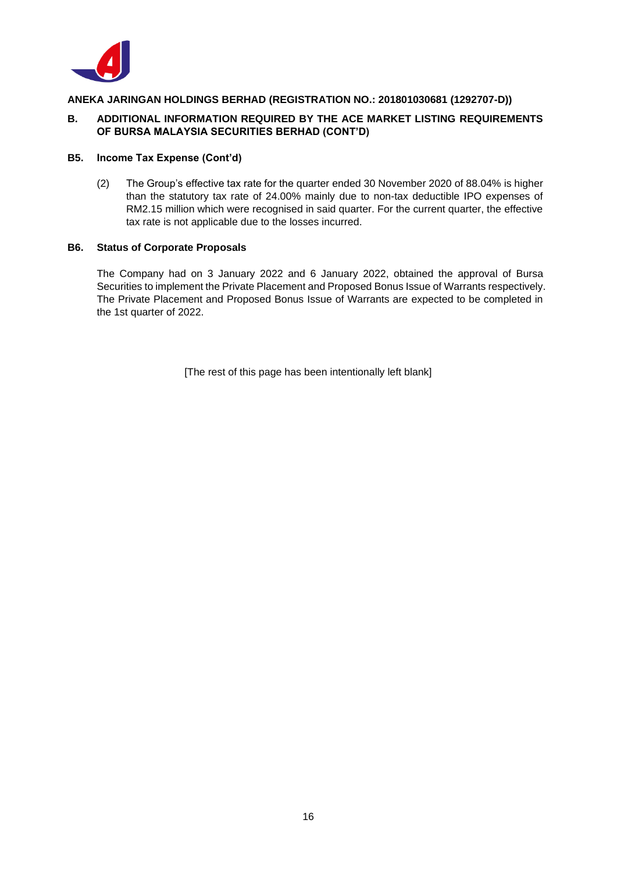

### **B. ADDITIONAL INFORMATION REQUIRED BY THE ACE MARKET LISTING REQUIREMENTS OF BURSA MALAYSIA SECURITIES BERHAD (CONT'D)**

#### **B5. Income Tax Expense (Cont'd)**

(2) The Group's effective tax rate for the quarter ended 30 November 2020 of 88.04% is higher than the statutory tax rate of 24.00% mainly due to non-tax deductible IPO expenses of RM2.15 million which were recognised in said quarter. For the current quarter, the effective tax rate is not applicable due to the losses incurred.

#### **B6. Status of Corporate Proposals**

The Company had on 3 January 2022 and 6 January 2022, obtained the approval of Bursa Securities to implement the Private Placement and Proposed Bonus Issue of Warrants respectively. The Private Placement and Proposed Bonus Issue of Warrants are expected to be completed in the 1st quarter of 2022.

[The rest of this page has been intentionally left blank]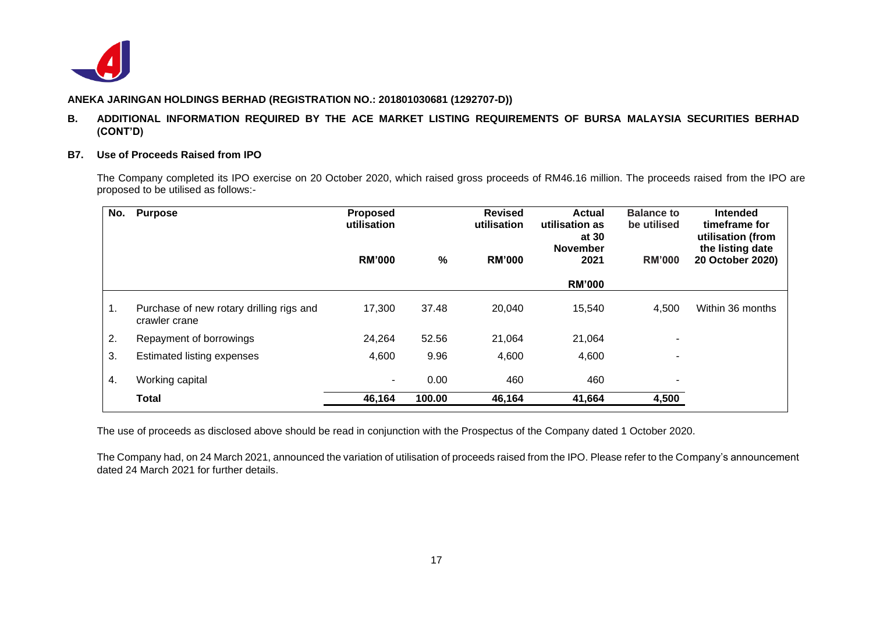

#### **B. ADDITIONAL INFORMATION REQUIRED BY THE ACE MARKET LISTING REQUIREMENTS OF BURSA MALAYSIA SECURITIES BERHAD (CONT'D)**

#### **B7. Use of Proceeds Raised from IPO**

The Company completed its IPO exercise on 20 October 2020, which raised gross proceeds of RM46.16 million. The proceeds raised from the IPO are proposed to be utilised as follows:-

| No. | <b>Purpose</b>                                            | <b>Proposed</b><br>utilisation |        | <b>Revised</b><br>utilisation | <b>Actual</b><br>utilisation as<br>at 30<br><b>November</b> | <b>Balance to</b><br>be utilised | <b>Intended</b><br>timeframe for<br>utilisation (from<br>the listing date |
|-----|-----------------------------------------------------------|--------------------------------|--------|-------------------------------|-------------------------------------------------------------|----------------------------------|---------------------------------------------------------------------------|
|     |                                                           | <b>RM'000</b>                  | %      | <b>RM'000</b>                 | 2021                                                        | <b>RM'000</b>                    | 20 October 2020)                                                          |
|     |                                                           |                                |        |                               | <b>RM'000</b>                                               |                                  |                                                                           |
| 1.  | Purchase of new rotary drilling rigs and<br>crawler crane | 17,300                         | 37.48  | 20,040                        | 15,540                                                      | 4,500                            | Within 36 months                                                          |
| 2.  | Repayment of borrowings                                   | 24,264                         | 52.56  | 21,064                        | 21,064                                                      | -                                |                                                                           |
| 3.  | <b>Estimated listing expenses</b>                         | 4,600                          | 9.96   | 4,600                         | 4,600                                                       | ۰                                |                                                                           |
| 4.  | Working capital                                           |                                | 0.00   | 460                           | 460                                                         | ۰                                |                                                                           |
|     | <b>Total</b>                                              | 46,164                         | 100.00 | 46,164                        | 41,664                                                      | 4,500                            |                                                                           |

The use of proceeds as disclosed above should be read in conjunction with the Prospectus of the Company dated 1 October 2020.

The Company had, on 24 March 2021, announced the variation of utilisation of proceeds raised from the IPO. Please refer to the Company's announcement dated 24 March 2021 for further details.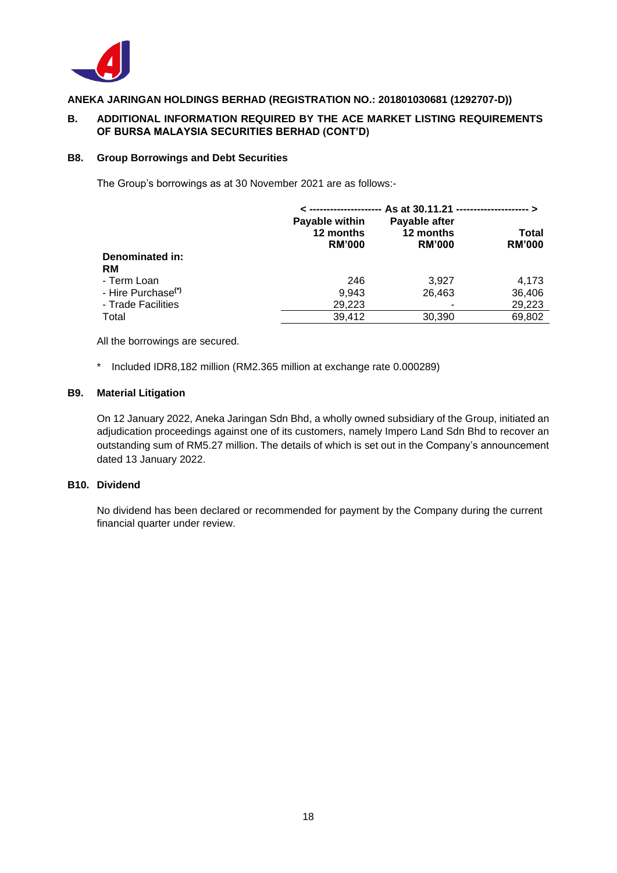

### **B. ADDITIONAL INFORMATION REQUIRED BY THE ACE MARKET LISTING REQUIREMENTS OF BURSA MALAYSIA SECURITIES BERHAD (CONT'D)**

#### **B8. Group Borrowings and Debt Securities**

The Group's borrowings as at 30 November 2021 are as follows:-

|                                | As at 30.11.21 ----------------------- >     |                                             |                        |  |  |
|--------------------------------|----------------------------------------------|---------------------------------------------|------------------------|--|--|
|                                | Payable within<br>12 months<br><b>RM'000</b> | Payable after<br>12 months<br><b>RM'000</b> | Total<br><b>RM'000</b> |  |  |
| Denominated in:                |                                              |                                             |                        |  |  |
| <b>RM</b>                      |                                              |                                             |                        |  |  |
| - Term Loan                    | 246                                          | 3.927                                       | 4.173                  |  |  |
| - Hire Purchase <sup>(*)</sup> | 9.943                                        | 26.463                                      | 36,406                 |  |  |
| - Trade Facilities             | 29,223                                       |                                             | 29,223                 |  |  |
| Total                          | 39,412                                       | 30,390                                      | 69,802                 |  |  |

All the borrowings are secured.

\* Included IDR8,182 million (RM2.365 million at exchange rate 0.000289)

#### **B9. Material Litigation**

On 12 January 2022, Aneka Jaringan Sdn Bhd, a wholly owned subsidiary of the Group, initiated an adjudication proceedings against one of its customers, namely Impero Land Sdn Bhd to recover an outstanding sum of RM5.27 million. The details of which is set out in the Company's announcement dated 13 January 2022.

### **B10. Dividend**

No dividend has been declared or recommended for payment by the Company during the current financial quarter under review.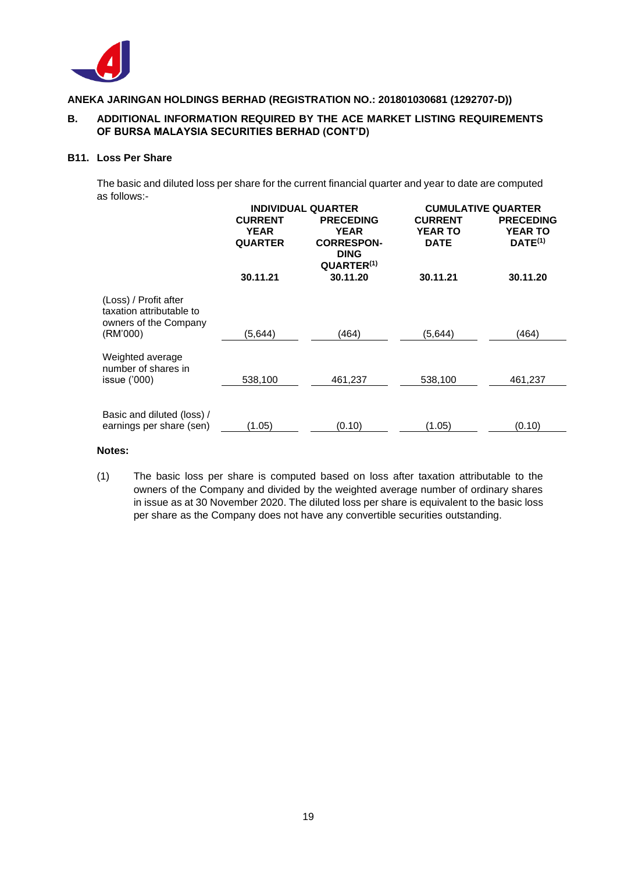

### **B. ADDITIONAL INFORMATION REQUIRED BY THE ACE MARKET LISTING REQUIREMENTS OF BURSA MALAYSIA SECURITIES BERHAD (CONT'D)**

#### **B11. Loss Per Share**

The basic and diluted loss per share for the current financial quarter and year to date are computed as follows:-

|                                                                                        | <b>INDIVIDUAL QUARTER</b>                       |                                                                                               | <b>CUMULATIVE QUARTER</b>                       |                                                    |  |
|----------------------------------------------------------------------------------------|-------------------------------------------------|-----------------------------------------------------------------------------------------------|-------------------------------------------------|----------------------------------------------------|--|
|                                                                                        | <b>CURRENT</b><br><b>YEAR</b><br><b>QUARTER</b> | <b>PRECEDING</b><br><b>YEAR</b><br><b>CORRESPON-</b><br><b>DING</b><br>QUARTER <sup>(1)</sup> | <b>CURRENT</b><br><b>YEAR TO</b><br><b>DATE</b> | <b>PRECEDING</b><br><b>YEAR TO</b><br>$DATE^{(1)}$ |  |
|                                                                                        | 30.11.21                                        | 30.11.20                                                                                      | 30.11.21                                        | 30.11.20                                           |  |
| (Loss) / Profit after<br>taxation attributable to<br>owners of the Company<br>(RM'000) | (5,644)                                         | (464)                                                                                         | (5,644)                                         | (464)                                              |  |
| Weighted average<br>number of shares in<br>issue ('000)                                | 538,100                                         | 461,237                                                                                       | 538,100                                         | 461,237                                            |  |
|                                                                                        |                                                 |                                                                                               |                                                 |                                                    |  |
| Basic and diluted (loss) /<br>earnings per share (sen)                                 | (1.05)                                          | (0.10)                                                                                        | (1.05)                                          | (0.10)                                             |  |

#### **Notes:**

(1) The basic loss per share is computed based on loss after taxation attributable to the owners of the Company and divided by the weighted average number of ordinary shares in issue as at 30 November 2020. The diluted loss per share is equivalent to the basic loss per share as the Company does not have any convertible securities outstanding.